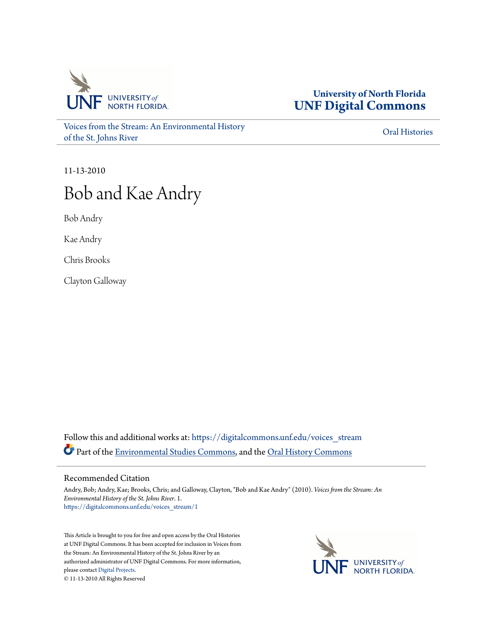

**University of North Florida [UNF Digital Commons](https://digitalcommons.unf.edu?utm_source=digitalcommons.unf.edu%2Fvoices_stream%2F1&utm_medium=PDF&utm_campaign=PDFCoverPages)**

[Voices from the Stream: An Environmental History](https://digitalcommons.unf.edu/voices_stream?utm_source=digitalcommons.unf.edu%2Fvoices_stream%2F1&utm_medium=PDF&utm_campaign=PDFCoverPages) [of the St. Johns River](https://digitalcommons.unf.edu/voices_stream?utm_source=digitalcommons.unf.edu%2Fvoices_stream%2F1&utm_medium=PDF&utm_campaign=PDFCoverPages)

[Oral Histories](https://digitalcommons.unf.edu/oral_histories?utm_source=digitalcommons.unf.edu%2Fvoices_stream%2F1&utm_medium=PDF&utm_campaign=PDFCoverPages)

11-13-2010

## Bob and Kae Andry

Bob Andry

Kae Andry

Chris Brooks

Clayton Galloway

Follow this and additional works at: [https://digitalcommons.unf.edu/voices\\_stream](https://digitalcommons.unf.edu/voices_stream?utm_source=digitalcommons.unf.edu%2Fvoices_stream%2F1&utm_medium=PDF&utm_campaign=PDFCoverPages) Part of the [Environmental Studies Commons](http://network.bepress.com/hgg/discipline/1333?utm_source=digitalcommons.unf.edu%2Fvoices_stream%2F1&utm_medium=PDF&utm_campaign=PDFCoverPages), and the [Oral History Commons](http://network.bepress.com/hgg/discipline/1195?utm_source=digitalcommons.unf.edu%2Fvoices_stream%2F1&utm_medium=PDF&utm_campaign=PDFCoverPages)

## Recommended Citation

Andry, Bob; Andry, Kae; Brooks, Chris; and Galloway, Clayton, "Bob and Kae Andry" (2010). *Voices from the Stream: An Environmental History of the St. Johns River*. 1. [https://digitalcommons.unf.edu/voices\\_stream/1](https://digitalcommons.unf.edu/voices_stream/1?utm_source=digitalcommons.unf.edu%2Fvoices_stream%2F1&utm_medium=PDF&utm_campaign=PDFCoverPages)

This Article is brought to you for free and open access by the Oral Histories at UNF Digital Commons. It has been accepted for inclusion in Voices from the Stream: An Environmental History of the St. Johns River by an authorized administrator of UNF Digital Commons. For more information, please contact [Digital Projects.](mailto:lib-digital@unf.edu) © 11-13-2010 All Rights Reserved

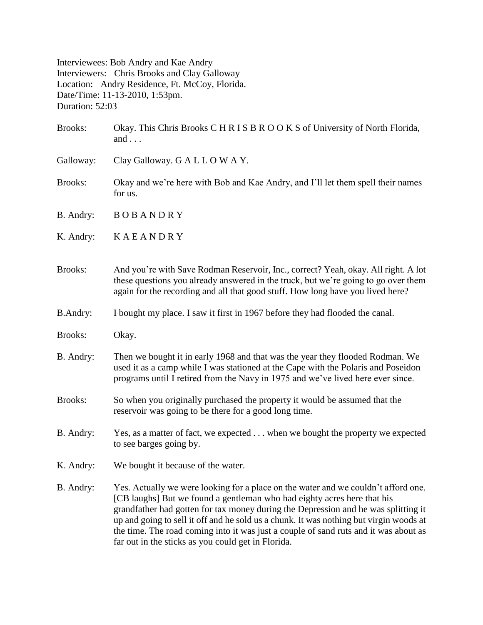Interviewees: Bob Andry and Kae Andry Interviewers: Chris Brooks and Clay Galloway Location: Andry Residence, Ft. McCoy, Florida. Date/Time: 11-13-2010, 1:53pm. Duration: 52:03

| <b>Brooks:</b>  | Okay. This Chris Brooks C H R I S B R O O K S of University of North Florida,<br>and $\ldots$                                                                                                                                                                                                                                                                                                                                                                                               |
|-----------------|---------------------------------------------------------------------------------------------------------------------------------------------------------------------------------------------------------------------------------------------------------------------------------------------------------------------------------------------------------------------------------------------------------------------------------------------------------------------------------------------|
| Galloway:       | Clay Galloway. G A L L O W A Y.                                                                                                                                                                                                                                                                                                                                                                                                                                                             |
| Brooks:         | Okay and we're here with Bob and Kae Andry, and I'll let them spell their names<br>for us.                                                                                                                                                                                                                                                                                                                                                                                                  |
| B. Andry:       | <b>BOBANDRY</b>                                                                                                                                                                                                                                                                                                                                                                                                                                                                             |
| K. Andry:       | KAEANDRY                                                                                                                                                                                                                                                                                                                                                                                                                                                                                    |
| <b>Brooks:</b>  | And you're with Save Rodman Reservoir, Inc., correct? Yeah, okay. All right. A lot<br>these questions you already answered in the truck, but we're going to go over them<br>again for the recording and all that good stuff. How long have you lived here?                                                                                                                                                                                                                                  |
| <b>B.Andry:</b> | I bought my place. I saw it first in 1967 before they had flooded the canal.                                                                                                                                                                                                                                                                                                                                                                                                                |
| <b>Brooks:</b>  | Okay.                                                                                                                                                                                                                                                                                                                                                                                                                                                                                       |
| B. Andry:       | Then we bought it in early 1968 and that was the year they flooded Rodman. We<br>used it as a camp while I was stationed at the Cape with the Polaris and Poseidon<br>programs until I retired from the Navy in 1975 and we've lived here ever since.                                                                                                                                                                                                                                       |
| Brooks:         | So when you originally purchased the property it would be assumed that the<br>reservoir was going to be there for a good long time.                                                                                                                                                                                                                                                                                                                                                         |
| B. Andry:       | Yes, as a matter of fact, we expected when we bought the property we expected<br>to see barges going by.                                                                                                                                                                                                                                                                                                                                                                                    |
| K. Andry:       | We bought it because of the water.                                                                                                                                                                                                                                                                                                                                                                                                                                                          |
| B. Andry:       | Yes. Actually we were looking for a place on the water and we couldn't afford one.<br>[CB laughs] But we found a gentleman who had eighty acres here that his<br>grandfather had gotten for tax money during the Depression and he was splitting it<br>up and going to sell it off and he sold us a chunk. It was nothing but virgin woods at<br>the time. The road coming into it was just a couple of sand ruts and it was about as<br>far out in the sticks as you could get in Florida. |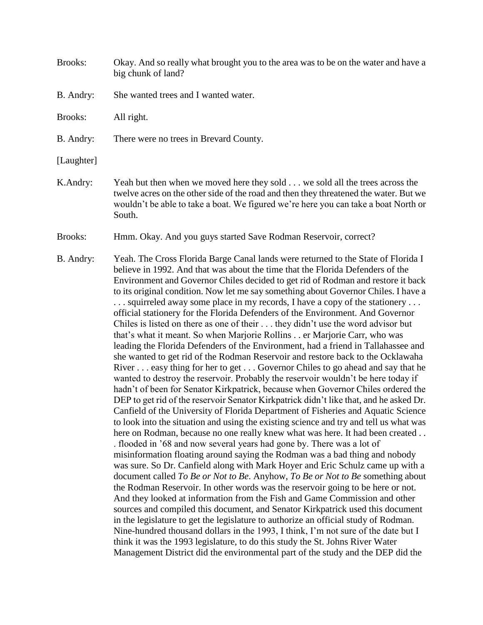| <b>Brooks:</b> | Okay. And so really what brought you to the area was to be on the water and have a<br>big chunk of land?                                                                                                                                                              |
|----------------|-----------------------------------------------------------------------------------------------------------------------------------------------------------------------------------------------------------------------------------------------------------------------|
| B. Andry:      | She wanted trees and I wanted water.                                                                                                                                                                                                                                  |
| <b>Brooks:</b> | All right.                                                                                                                                                                                                                                                            |
| B. Andry:      | There were no trees in Brevard County.                                                                                                                                                                                                                                |
| [Laughter]     |                                                                                                                                                                                                                                                                       |
| K.Andry:       | Yeah but then when we moved here they sold we sold all the trees across the<br>twelve acres on the other side of the road and then they threatened the water. But we<br>wouldn't be able to take a boat. We figured we're here you can take a boat North or<br>South. |

- Brooks: Hmm. Okay. And you guys started Save Rodman Reservoir, correct?
- B. Andry: Yeah. The Cross Florida Barge Canal lands were returned to the State of Florida I believe in 1992. And that was about the time that the Florida Defenders of the Environment and Governor Chiles decided to get rid of Rodman and restore it back to its original condition. Now let me say something about Governor Chiles. I have a . . . squirreled away some place in my records, I have a copy of the stationery . . . official stationery for the Florida Defenders of the Environment. And Governor Chiles is listed on there as one of their . . . they didn't use the word advisor but that's what it meant. So when Marjorie Rollins . . er Marjorie Carr, who was leading the Florida Defenders of the Environment, had a friend in Tallahassee and she wanted to get rid of the Rodman Reservoir and restore back to the Ocklawaha River . . . easy thing for her to get . . . Governor Chiles to go ahead and say that he wanted to destroy the reservoir. Probably the reservoir wouldn't be here today if hadn't of been for Senator Kirkpatrick, because when Governor Chiles ordered the DEP to get rid of the reservoir Senator Kirkpatrick didn't like that, and he asked Dr. Canfield of the University of Florida Department of Fisheries and Aquatic Science to look into the situation and using the existing science and try and tell us what was here on Rodman, because no one really knew what was here. It had been created . . . flooded in '68 and now several years had gone by. There was a lot of misinformation floating around saying the Rodman was a bad thing and nobody was sure. So Dr. Canfield along with Mark Hoyer and Eric Schulz came up with a document called *To Be or Not to Be*. Anyhow, *To Be or Not to Be* something about the Rodman Reservoir. In other words was the reservoir going to be here or not. And they looked at information from the Fish and Game Commission and other sources and compiled this document, and Senator Kirkpatrick used this document in the legislature to get the legislature to authorize an official study of Rodman. Nine-hundred thousand dollars in the 1993, I think, I'm not sure of the date but I think it was the 1993 legislature, to do this study the St. Johns River Water Management District did the environmental part of the study and the DEP did the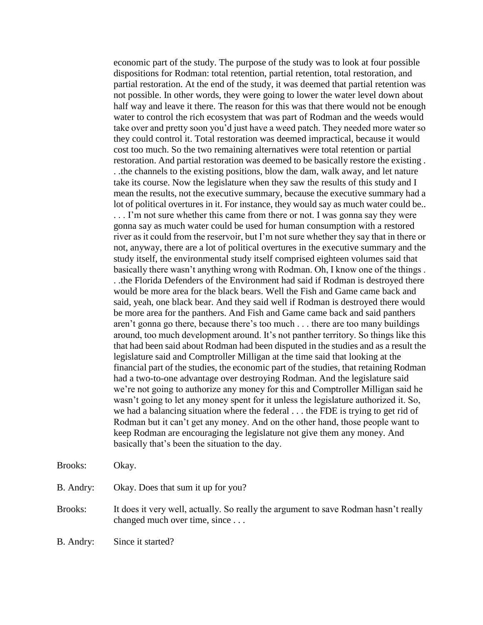economic part of the study. The purpose of the study was to look at four possible dispositions for Rodman: total retention, partial retention, total restoration, and partial restoration. At the end of the study, it was deemed that partial retention was not possible. In other words, they were going to lower the water level down about half way and leave it there. The reason for this was that there would not be enough water to control the rich ecosystem that was part of Rodman and the weeds would take over and pretty soon you'd just have a weed patch. They needed more water so they could control it. Total restoration was deemed impractical, because it would cost too much. So the two remaining alternatives were total retention or partial restoration. And partial restoration was deemed to be basically restore the existing . . .the channels to the existing positions, blow the dam, walk away, and let nature take its course. Now the legislature when they saw the results of this study and I mean the results, not the executive summary, because the executive summary had a lot of political overtures in it. For instance, they would say as much water could be.. . . . I'm not sure whether this came from there or not. I was gonna say they were gonna say as much water could be used for human consumption with a restored river as it could from the reservoir, but I'm not sure whether they say that in there or not, anyway, there are a lot of political overtures in the executive summary and the study itself, the environmental study itself comprised eighteen volumes said that basically there wasn't anything wrong with Rodman. Oh, I know one of the things . . .the Florida Defenders of the Environment had said if Rodman is destroyed there would be more area for the black bears. Well the Fish and Game came back and said, yeah, one black bear. And they said well if Rodman is destroyed there would be more area for the panthers. And Fish and Game came back and said panthers aren't gonna go there, because there's too much . . . there are too many buildings around, too much development around. It's not panther territory. So things like this that had been said about Rodman had been disputed in the studies and as a result the legislature said and Comptroller Milligan at the time said that looking at the financial part of the studies, the economic part of the studies, that retaining Rodman had a two-to-one advantage over destroying Rodman. And the legislature said we're not going to authorize any money for this and Comptroller Milligan said he wasn't going to let any money spent for it unless the legislature authorized it. So, we had a balancing situation where the federal . . . the FDE is trying to get rid of Rodman but it can't get any money. And on the other hand, those people want to keep Rodman are encouraging the legislature not give them any money. And basically that's been the situation to the day.

Brooks: Okay. B. Andry: Okay. Does that sum it up for you? Brooks: It does it very well, actually. So really the argument to save Rodman hasn't really changed much over time, since . . . B. Andry: Since it started?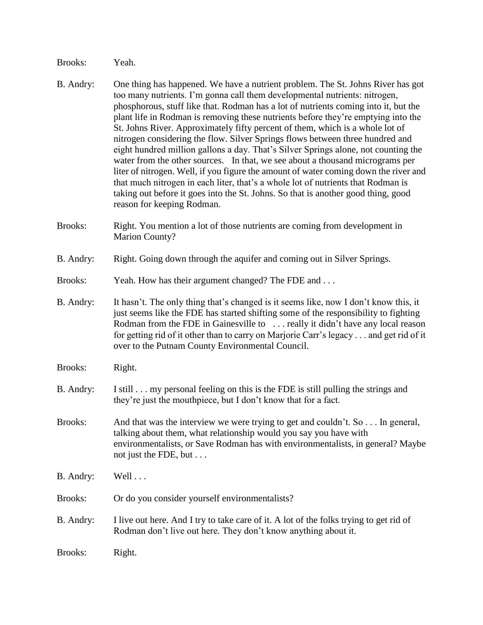Brooks: Yeah.

- B. Andry: One thing has happened. We have a nutrient problem. The St. Johns River has got too many nutrients. I'm gonna call them developmental nutrients: nitrogen, phosphorous, stuff like that. Rodman has a lot of nutrients coming into it, but the plant life in Rodman is removing these nutrients before they're emptying into the St. Johns River. Approximately fifty percent of them, which is a whole lot of nitrogen considering the flow. Silver Springs flows between three hundred and eight hundred million gallons a day. That's Silver Springs alone, not counting the water from the other sources. In that, we see about a thousand micrograms per liter of nitrogen. Well, if you figure the amount of water coming down the river and that much nitrogen in each liter, that's a whole lot of nutrients that Rodman is taking out before it goes into the St. Johns. So that is another good thing, good reason for keeping Rodman.
- Brooks: Right. You mention a lot of those nutrients are coming from development in Marion County?
- B. Andry: Right. Going down through the aquifer and coming out in Silver Springs.
- Brooks: Yeah. How has their argument changed? The FDE and ...
- B. Andry: It hasn't. The only thing that's changed is it seems like, now I don't know this, it just seems like the FDE has started shifting some of the responsibility to fighting Rodman from the FDE in Gainesville to ... really it didn't have any local reason for getting rid of it other than to carry on Marjorie Carr's legacy . . . and get rid of it over to the Putnam County Environmental Council.
- Brooks: Right.
- B. Andry: I still . . . my personal feeling on this is the FDE is still pulling the strings and they're just the mouthpiece, but I don't know that for a fact.
- Brooks: And that was the interview we were trying to get and couldn't. So . . . In general, talking about them, what relationship would you say you have with environmentalists, or Save Rodman has with environmentalists, in general? Maybe not just the FDE, but . . .
- B. Andry: Well ...
- Brooks: Or do you consider yourself environmentalists?
- B. Andry: I live out here. And I try to take care of it. A lot of the folks trying to get rid of Rodman don't live out here. They don't know anything about it.
- Brooks: Right.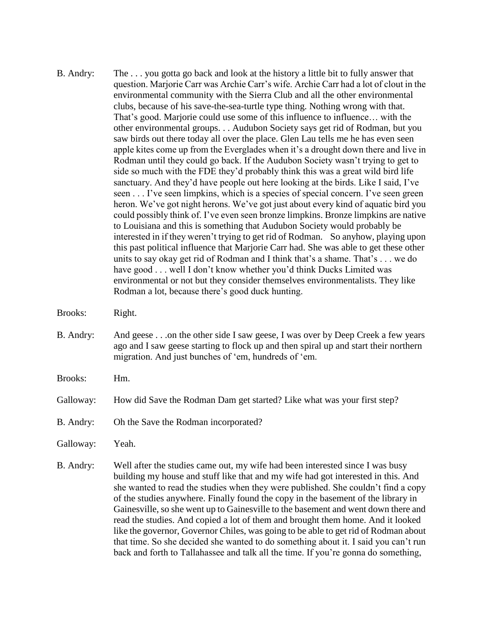B. Andry: The . . . you gotta go back and look at the history a little bit to fully answer that question. Marjorie Carr was Archie Carr's wife. Archie Carr had a lot of clout in the environmental community with the Sierra Club and all the other environmental clubs, because of his save-the-sea-turtle type thing. Nothing wrong with that. That's good. Marjorie could use some of this influence to influence… with the other environmental groups. . . Audubon Society says get rid of Rodman, but you saw birds out there today all over the place. Glen Lau tells me he has even seen apple kites come up from the Everglades when it's a drought down there and live in Rodman until they could go back. If the Audubon Society wasn't trying to get to side so much with the FDE they'd probably think this was a great wild bird life sanctuary. And they'd have people out here looking at the birds. Like I said, I've seen . . . I've seen limpkins, which is a species of special concern. I've seen green heron. We've got night herons. We've got just about every kind of aquatic bird you could possibly think of. I've even seen bronze limpkins. Bronze limpkins are native to Louisiana and this is something that Audubon Society would probably be interested in if they weren't trying to get rid of Rodman. So anyhow, playing upon this past political influence that Marjorie Carr had. She was able to get these other units to say okay get rid of Rodman and I think that's a shame. That's . . . we do have good . . . well I don't know whether you'd think Ducks Limited was environmental or not but they consider themselves environmentalists. They like Rodman a lot, because there's good duck hunting.

Brooks: Right.

- B. Andry: And geese . . .on the other side I saw geese, I was over by Deep Creek a few years ago and I saw geese starting to flock up and then spiral up and start their northern migration. And just bunches of 'em, hundreds of 'em.
- Brooks: Hm.
- Galloway: How did Save the Rodman Dam get started? Like what was your first step?
- B. Andry: Oh the Save the Rodman incorporated?
- Galloway: Yeah.
- B. Andry: Well after the studies came out, my wife had been interested since I was busy building my house and stuff like that and my wife had got interested in this. And she wanted to read the studies when they were published. She couldn't find a copy of the studies anywhere. Finally found the copy in the basement of the library in Gainesville, so she went up to Gainesville to the basement and went down there and read the studies. And copied a lot of them and brought them home. And it looked like the governor, Governor Chiles, was going to be able to get rid of Rodman about that time. So she decided she wanted to do something about it. I said you can't run back and forth to Tallahassee and talk all the time. If you're gonna do something,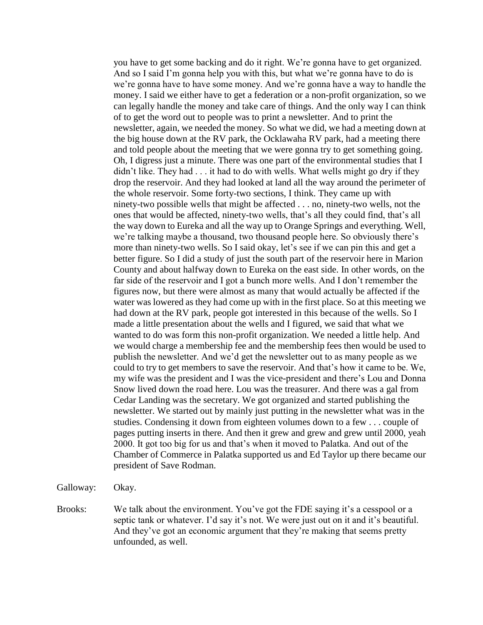you have to get some backing and do it right. We're gonna have to get organized. And so I said I'm gonna help you with this, but what we're gonna have to do is we're gonna have to have some money. And we're gonna have a way to handle the money. I said we either have to get a federation or a non-profit organization, so we can legally handle the money and take care of things. And the only way I can think of to get the word out to people was to print a newsletter. And to print the newsletter, again, we needed the money. So what we did, we had a meeting down at the big house down at the RV park, the Ocklawaha RV park, had a meeting there and told people about the meeting that we were gonna try to get something going. Oh, I digress just a minute. There was one part of the environmental studies that I didn't like. They had . . . it had to do with wells. What wells might go dry if they drop the reservoir. And they had looked at land all the way around the perimeter of the whole reservoir. Some forty-two sections, I think. They came up with ninety-two possible wells that might be affected . . . no, ninety-two wells, not the ones that would be affected, ninety-two wells, that's all they could find, that's all the way down to Eureka and all the way up to Orange Springs and everything. Well, we're talking maybe a thousand, two thousand people here. So obviously there's more than ninety-two wells. So I said okay, let's see if we can pin this and get a better figure. So I did a study of just the south part of the reservoir here in Marion County and about halfway down to Eureka on the east side. In other words, on the far side of the reservoir and I got a bunch more wells. And I don't remember the figures now, but there were almost as many that would actually be affected if the water was lowered as they had come up with in the first place. So at this meeting we had down at the RV park, people got interested in this because of the wells. So I made a little presentation about the wells and I figured, we said that what we wanted to do was form this non-profit organization. We needed a little help. And we would charge a membership fee and the membership fees then would be used to publish the newsletter. And we'd get the newsletter out to as many people as we could to try to get members to save the reservoir. And that's how it came to be. We, my wife was the president and I was the vice-president and there's Lou and Donna Snow lived down the road here. Lou was the treasurer. And there was a gal from Cedar Landing was the secretary. We got organized and started publishing the newsletter. We started out by mainly just putting in the newsletter what was in the studies. Condensing it down from eighteen volumes down to a few . . . couple of pages putting inserts in there. And then it grew and grew and grew until 2000, yeah 2000. It got too big for us and that's when it moved to Palatka. And out of the Chamber of Commerce in Palatka supported us and Ed Taylor up there became our president of Save Rodman.

Galloway: Okay.

Brooks: We talk about the environment. You've got the FDE saying it's a cesspool or a septic tank or whatever. I'd say it's not. We were just out on it and it's beautiful. And they've got an economic argument that they're making that seems pretty unfounded, as well.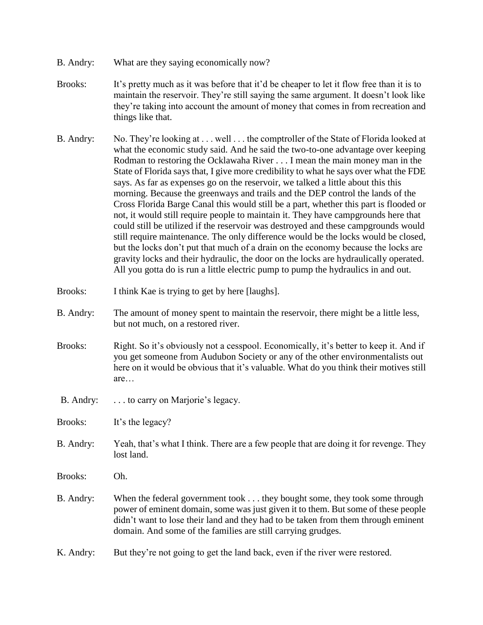- B. Andry: What are they saying economically now?
- Brooks: It's pretty much as it was before that it'd be cheaper to let it flow free than it is to maintain the reservoir. They're still saying the same argument. It doesn't look like they're taking into account the amount of money that comes in from recreation and things like that.
- B. Andry: No. They're looking at . . . well . . . the comptroller of the State of Florida looked at what the economic study said. And he said the two-to-one advantage over keeping Rodman to restoring the Ocklawaha River . . . I mean the main money man in the State of Florida says that, I give more credibility to what he says over what the FDE says. As far as expenses go on the reservoir, we talked a little about this this morning. Because the greenways and trails and the DEP control the lands of the Cross Florida Barge Canal this would still be a part, whether this part is flooded or not, it would still require people to maintain it. They have campgrounds here that could still be utilized if the reservoir was destroyed and these campgrounds would still require maintenance. The only difference would be the locks would be closed, but the locks don't put that much of a drain on the economy because the locks are gravity locks and their hydraulic, the door on the locks are hydraulically operated. All you gotta do is run a little electric pump to pump the hydraulics in and out.
- Brooks: I think Kae is trying to get by here [laughs].
- B. Andry: The amount of money spent to maintain the reservoir, there might be a little less, but not much, on a restored river.
- Brooks: Right. So it's obviously not a cesspool. Economically, it's better to keep it. And if you get someone from Audubon Society or any of the other environmentalists out here on it would be obvious that it's valuable. What do you think their motives still are…
- B. Andry: . . . to carry on Marjorie's legacy.

Brooks: It's the legacy?

- B. Andry: Yeah, that's what I think. There are a few people that are doing it for revenge. They lost land.
- Brooks: Oh.
- B. Andry: When the federal government took . . . they bought some, they took some through power of eminent domain, some was just given it to them. But some of these people didn't want to lose their land and they had to be taken from them through eminent domain. And some of the families are still carrying grudges.
- K. Andry: But they're not going to get the land back, even if the river were restored.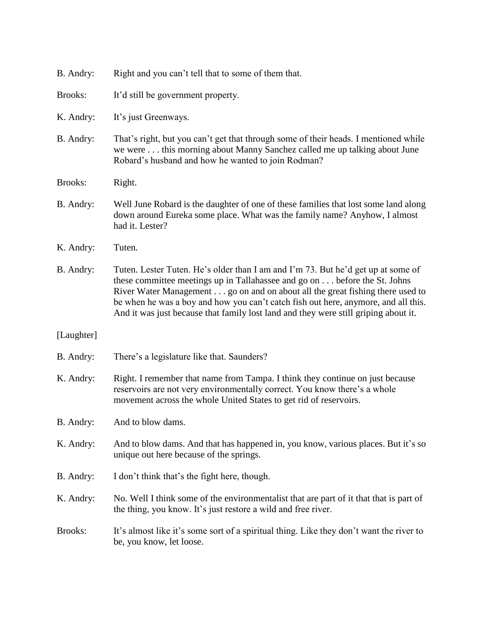| B. Andry:      | Right and you can't tell that to some of them that.                                                                                                                                                                                                                                                                                                                                                                         |
|----------------|-----------------------------------------------------------------------------------------------------------------------------------------------------------------------------------------------------------------------------------------------------------------------------------------------------------------------------------------------------------------------------------------------------------------------------|
| <b>Brooks:</b> | It'd still be government property.                                                                                                                                                                                                                                                                                                                                                                                          |
| K. Andry:      | It's just Greenways.                                                                                                                                                                                                                                                                                                                                                                                                        |
| B. Andry:      | That's right, but you can't get that through some of their heads. I mentioned while<br>we were this morning about Manny Sanchez called me up talking about June<br>Robard's husband and how he wanted to join Rodman?                                                                                                                                                                                                       |
| <b>Brooks:</b> | Right.                                                                                                                                                                                                                                                                                                                                                                                                                      |
| B. Andry:      | Well June Robard is the daughter of one of these families that lost some land along<br>down around Eureka some place. What was the family name? Anyhow, I almost<br>had it. Lester?                                                                                                                                                                                                                                         |
| K. Andry:      | Tuten.                                                                                                                                                                                                                                                                                                                                                                                                                      |
| B. Andry:      | Tuten. Lester Tuten. He's older than I am and I'm 73. But he'd get up at some of<br>these committee meetings up in Tallahassee and go on before the St. Johns<br>River Water Management go on and on about all the great fishing there used to<br>be when he was a boy and how you can't catch fish out here, anymore, and all this.<br>And it was just because that family lost land and they were still griping about it. |
| [Laughter]     |                                                                                                                                                                                                                                                                                                                                                                                                                             |
| B. Andry:      | There's a legislature like that. Saunders?                                                                                                                                                                                                                                                                                                                                                                                  |
| K. Andry:      | Right. I remember that name from Tampa. I think they continue on just because<br>reservoirs are not very environmentally correct. You know there's a whole<br>movement across the whole United States to get rid of reservoirs.                                                                                                                                                                                             |
| B. Andry:      | And to blow dams.                                                                                                                                                                                                                                                                                                                                                                                                           |
| K. Andry:      | And to blow dams. And that has happened in, you know, various places. But it's so<br>unique out here because of the springs.                                                                                                                                                                                                                                                                                                |
| B. Andry:      | I don't think that's the fight here, though.                                                                                                                                                                                                                                                                                                                                                                                |
| K. Andry:      | No. Well I think some of the environmentalist that are part of it that that is part of<br>the thing, you know. It's just restore a wild and free river.                                                                                                                                                                                                                                                                     |
| <b>Brooks:</b> | It's almost like it's some sort of a spiritual thing. Like they don't want the river to<br>be, you know, let loose.                                                                                                                                                                                                                                                                                                         |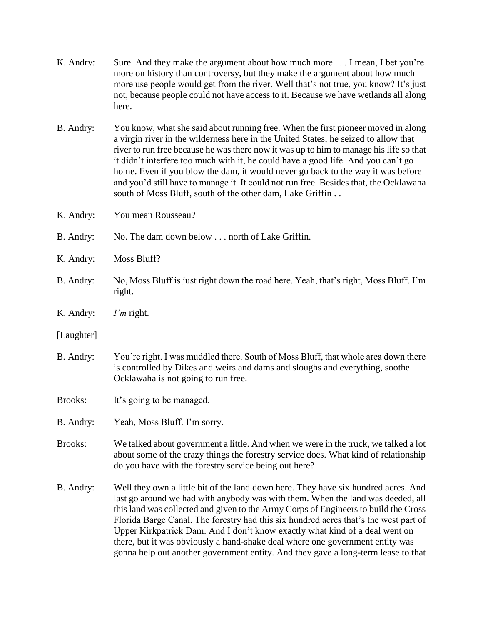| K. Andry:      | Sure. And they make the argument about how much more I mean, I bet you're<br>more on history than controversy, but they make the argument about how much<br>more use people would get from the river. Well that's not true, you know? It's just<br>not, because people could not have access to it. Because we have wetlands all along<br>here.                                                                                                                                                                                                                                                           |
|----------------|-----------------------------------------------------------------------------------------------------------------------------------------------------------------------------------------------------------------------------------------------------------------------------------------------------------------------------------------------------------------------------------------------------------------------------------------------------------------------------------------------------------------------------------------------------------------------------------------------------------|
| B. Andry:      | You know, what she said about running free. When the first pioneer moved in along<br>a virgin river in the wilderness here in the United States, he seized to allow that<br>river to run free because he was there now it was up to him to manage his life so that<br>it didn't interfere too much with it, he could have a good life. And you can't go<br>home. Even if you blow the dam, it would never go back to the way it was before<br>and you'd still have to manage it. It could not run free. Besides that, the Ocklawaha<br>south of Moss Bluff, south of the other dam, Lake Griffin          |
| K. Andry:      | You mean Rousseau?                                                                                                                                                                                                                                                                                                                                                                                                                                                                                                                                                                                        |
| B. Andry:      | No. The dam down below north of Lake Griffin.                                                                                                                                                                                                                                                                                                                                                                                                                                                                                                                                                             |
| K. Andry:      | Moss Bluff?                                                                                                                                                                                                                                                                                                                                                                                                                                                                                                                                                                                               |
| B. Andry:      | No, Moss Bluff is just right down the road here. Yeah, that's right, Moss Bluff. I'm<br>right.                                                                                                                                                                                                                                                                                                                                                                                                                                                                                                            |
| K. Andry:      | $I'm$ right.                                                                                                                                                                                                                                                                                                                                                                                                                                                                                                                                                                                              |
| [Laughter]     |                                                                                                                                                                                                                                                                                                                                                                                                                                                                                                                                                                                                           |
| B. Andry:      | You're right. I was muddled there. South of Moss Bluff, that whole area down there<br>is controlled by Dikes and weirs and dams and sloughs and everything, soother<br>Ocklawaha is not going to run free.                                                                                                                                                                                                                                                                                                                                                                                                |
| <b>Brooks:</b> | It's going to be managed.                                                                                                                                                                                                                                                                                                                                                                                                                                                                                                                                                                                 |
| B. Andry:      | Yeah, Moss Bluff. I'm sorry.                                                                                                                                                                                                                                                                                                                                                                                                                                                                                                                                                                              |
| <b>Brooks:</b> | We talked about government a little. And when we were in the truck, we talked a lot<br>about some of the crazy things the forestry service does. What kind of relationship<br>do you have with the forestry service being out here?                                                                                                                                                                                                                                                                                                                                                                       |
| B. Andry:      | Well they own a little bit of the land down here. They have six hundred acres. And<br>last go around we had with anybody was with them. When the land was deeded, all<br>this land was collected and given to the Army Corps of Engineers to build the Cross<br>Florida Barge Canal. The forestry had this six hundred acres that's the west part of<br>Upper Kirkpatrick Dam. And I don't know exactly what kind of a deal went on<br>there, but it was obviously a hand-shake deal where one government entity was<br>gonna help out another government entity. And they gave a long-term lease to that |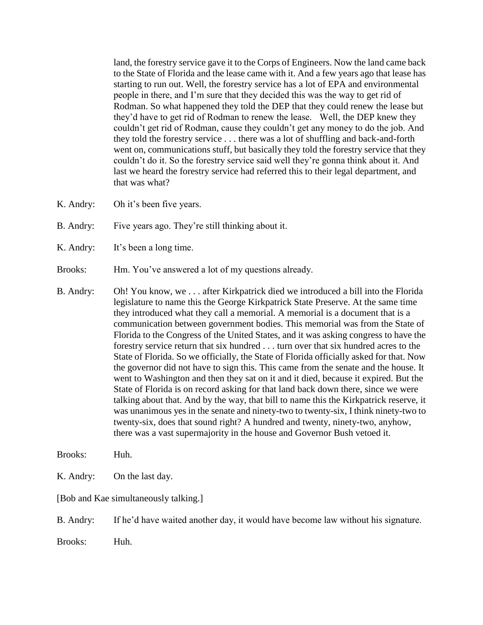land, the forestry service gave it to the Corps of Engineers. Now the land came back to the State of Florida and the lease came with it. And a few years ago that lease has starting to run out. Well, the forestry service has a lot of EPA and environmental people in there, and I'm sure that they decided this was the way to get rid of Rodman. So what happened they told the DEP that they could renew the lease but they'd have to get rid of Rodman to renew the lease. Well, the DEP knew they couldn't get rid of Rodman, cause they couldn't get any money to do the job. And they told the forestry service . . . there was a lot of shuffling and back-and-forth went on, communications stuff, but basically they told the forestry service that they couldn't do it. So the forestry service said well they're gonna think about it. And last we heard the forestry service had referred this to their legal department, and that was what?

- K. Andry: Oh it's been five years.
- B. Andry: Five years ago. They're still thinking about it.
- K. Andry: It's been a long time.
- Brooks: Hm. You've answered a lot of my questions already.
- B. Andry: Oh! You know, we . . . after Kirkpatrick died we introduced a bill into the Florida legislature to name this the George Kirkpatrick State Preserve. At the same time they introduced what they call a memorial. A memorial is a document that is a communication between government bodies. This memorial was from the State of Florida to the Congress of the United States, and it was asking congress to have the forestry service return that six hundred . . . turn over that six hundred acres to the State of Florida. So we officially, the State of Florida officially asked for that. Now the governor did not have to sign this. This came from the senate and the house. It went to Washington and then they sat on it and it died, because it expired. But the State of Florida is on record asking for that land back down there, since we were talking about that. And by the way, that bill to name this the Kirkpatrick reserve, it was unanimous yes in the senate and ninety-two to twenty-six, I think ninety-two to twenty-six, does that sound right? A hundred and twenty, ninety-two, anyhow, there was a vast supermajority in the house and Governor Bush vetoed it.
- Brooks: Huh.
- K. Andry: On the last day.
- [Bob and Kae simultaneously talking.]

B. Andry: If he'd have waited another day, it would have become law without his signature.

Brooks: Huh.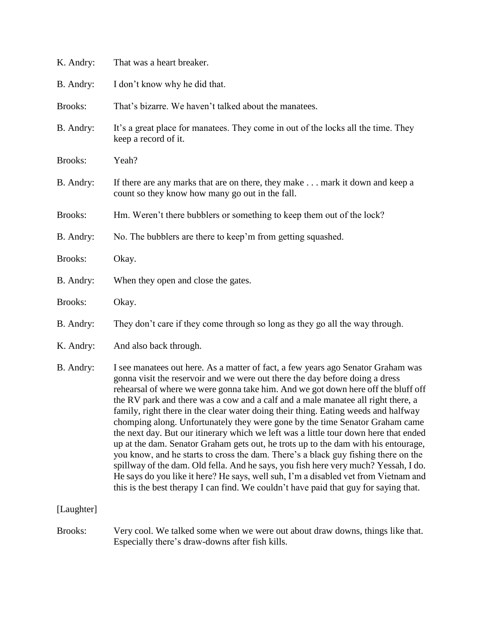| K. Andry:      | That was a heart breaker.                                                                                                                                                                                                                                                                                                                                                                                                                                                                                                                                                                                                                                                                                                                                                                                                                                                                                                                                                                                                                                 |
|----------------|-----------------------------------------------------------------------------------------------------------------------------------------------------------------------------------------------------------------------------------------------------------------------------------------------------------------------------------------------------------------------------------------------------------------------------------------------------------------------------------------------------------------------------------------------------------------------------------------------------------------------------------------------------------------------------------------------------------------------------------------------------------------------------------------------------------------------------------------------------------------------------------------------------------------------------------------------------------------------------------------------------------------------------------------------------------|
| B. Andry:      | I don't know why he did that.                                                                                                                                                                                                                                                                                                                                                                                                                                                                                                                                                                                                                                                                                                                                                                                                                                                                                                                                                                                                                             |
| Brooks:        | That's bizarre. We haven't talked about the manatees.                                                                                                                                                                                                                                                                                                                                                                                                                                                                                                                                                                                                                                                                                                                                                                                                                                                                                                                                                                                                     |
| B. Andry:      | It's a great place for manatees. They come in out of the locks all the time. They<br>keep a record of it.                                                                                                                                                                                                                                                                                                                                                                                                                                                                                                                                                                                                                                                                                                                                                                                                                                                                                                                                                 |
| <b>Brooks:</b> | Yeah?                                                                                                                                                                                                                                                                                                                                                                                                                                                                                                                                                                                                                                                                                                                                                                                                                                                                                                                                                                                                                                                     |
| B. Andry:      | If there are any marks that are on there, they make mark it down and keep a<br>count so they know how many go out in the fall.                                                                                                                                                                                                                                                                                                                                                                                                                                                                                                                                                                                                                                                                                                                                                                                                                                                                                                                            |
| <b>Brooks:</b> | Hm. Weren't there bubblers or something to keep them out of the lock?                                                                                                                                                                                                                                                                                                                                                                                                                                                                                                                                                                                                                                                                                                                                                                                                                                                                                                                                                                                     |
| B. Andry:      | No. The bubblers are there to keep'm from getting squashed.                                                                                                                                                                                                                                                                                                                                                                                                                                                                                                                                                                                                                                                                                                                                                                                                                                                                                                                                                                                               |
| Brooks:        | Okay.                                                                                                                                                                                                                                                                                                                                                                                                                                                                                                                                                                                                                                                                                                                                                                                                                                                                                                                                                                                                                                                     |
| B. Andry:      | When they open and close the gates.                                                                                                                                                                                                                                                                                                                                                                                                                                                                                                                                                                                                                                                                                                                                                                                                                                                                                                                                                                                                                       |
| <b>Brooks:</b> | Okay.                                                                                                                                                                                                                                                                                                                                                                                                                                                                                                                                                                                                                                                                                                                                                                                                                                                                                                                                                                                                                                                     |
| B. Andry:      | They don't care if they come through so long as they go all the way through.                                                                                                                                                                                                                                                                                                                                                                                                                                                                                                                                                                                                                                                                                                                                                                                                                                                                                                                                                                              |
| K. Andry:      | And also back through.                                                                                                                                                                                                                                                                                                                                                                                                                                                                                                                                                                                                                                                                                                                                                                                                                                                                                                                                                                                                                                    |
| B. Andry:      | I see manatees out here. As a matter of fact, a few years ago Senator Graham was<br>gonna visit the reservoir and we were out there the day before doing a dress<br>rehearsal of where we were gonna take him. And we got down here off the bluff off<br>the RV park and there was a cow and a calf and a male manatee all right there, a<br>family, right there in the clear water doing their thing. Eating weeds and halfway<br>chomping along. Unfortunately they were gone by the time Senator Graham came<br>the next day. But our itinerary which we left was a little tour down here that ended<br>up at the dam. Senator Graham gets out, he trots up to the dam with his entourage,<br>you know, and he starts to cross the dam. There's a black guy fishing there on the<br>spillway of the dam. Old fella. And he says, you fish here very much? Yessah, I do.<br>He says do you like it here? He says, well suh, I'm a disabled vet from Vietnam and<br>this is the best therapy I can find. We couldn't have paid that guy for saying that. |
| [Laughter]     |                                                                                                                                                                                                                                                                                                                                                                                                                                                                                                                                                                                                                                                                                                                                                                                                                                                                                                                                                                                                                                                           |
| <b>Brooks:</b> | Very cool. We talked some when we were out about draw downs, things like that.<br>Especially there's draw-downs after fish kills.                                                                                                                                                                                                                                                                                                                                                                                                                                                                                                                                                                                                                                                                                                                                                                                                                                                                                                                         |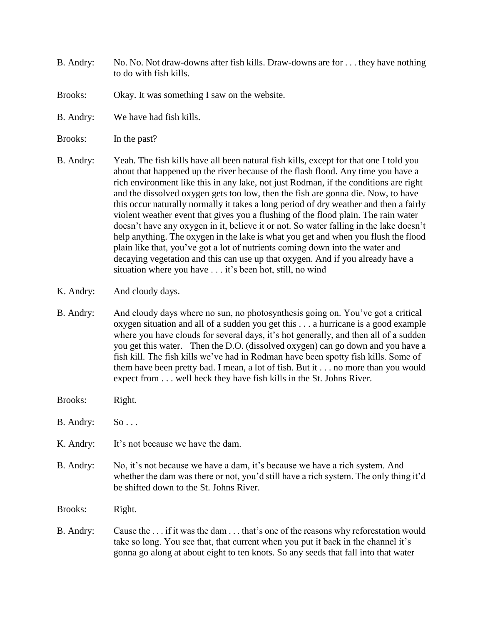- B. Andry: No. No. Not draw-downs after fish kills. Draw-downs are for . . . they have nothing to do with fish kills.
- Brooks: Okay. It was something I saw on the website.
- B. Andry: We have had fish kills.

Brooks: In the past?

- B. Andry: Yeah. The fish kills have all been natural fish kills, except for that one I told you about that happened up the river because of the flash flood. Any time you have a rich environment like this in any lake, not just Rodman, if the conditions are right and the dissolved oxygen gets too low, then the fish are gonna die. Now, to have this occur naturally normally it takes a long period of dry weather and then a fairly violent weather event that gives you a flushing of the flood plain. The rain water doesn't have any oxygen in it, believe it or not. So water falling in the lake doesn't help anything. The oxygen in the lake is what you get and when you flush the flood plain like that, you've got a lot of nutrients coming down into the water and decaying vegetation and this can use up that oxygen. And if you already have a situation where you have . . . it's been hot, still, no wind
- K. Andry: And cloudy days.
- B. Andry: And cloudy days where no sun, no photosynthesis going on. You've got a critical oxygen situation and all of a sudden you get this . . . a hurricane is a good example where you have clouds for several days, it's hot generally, and then all of a sudden you get this water. Then the D.O. (dissolved oxygen) can go down and you have a fish kill. The fish kills we've had in Rodman have been spotty fish kills. Some of them have been pretty bad. I mean, a lot of fish. But it . . . no more than you would expect from . . . well heck they have fish kills in the St. Johns River.
- Brooks: Right.
- $B.$  Andry:  $So \ldots$
- K. Andry: It's not because we have the dam.
- B. Andry: No, it's not because we have a dam, it's because we have a rich system. And whether the dam was there or not, you'd still have a rich system. The only thing it'd be shifted down to the St. Johns River.

Brooks: Right.

B. Andry: Cause the . . . if it was the dam . . . that's one of the reasons why reforestation would take so long. You see that, that current when you put it back in the channel it's gonna go along at about eight to ten knots. So any seeds that fall into that water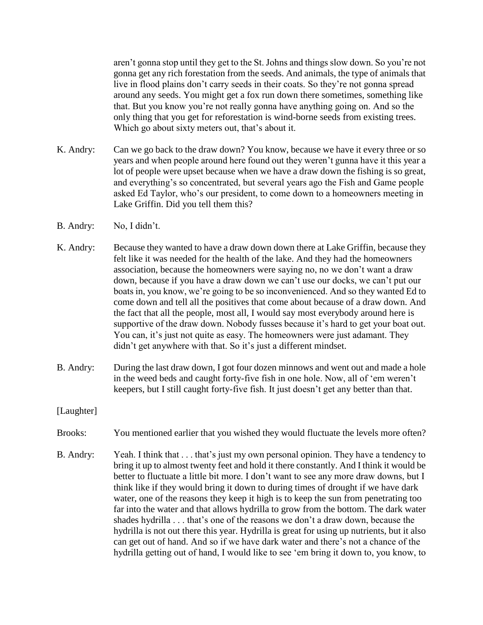aren't gonna stop until they get to the St. Johns and things slow down. So you're not gonna get any rich forestation from the seeds. And animals, the type of animals that live in flood plains don't carry seeds in their coats. So they're not gonna spread around any seeds. You might get a fox run down there sometimes, something like that. But you know you're not really gonna have anything going on. And so the only thing that you get for reforestation is wind-borne seeds from existing trees. Which go about sixty meters out, that's about it.

- K. Andry: Can we go back to the draw down? You know, because we have it every three or so years and when people around here found out they weren't gunna have it this year a lot of people were upset because when we have a draw down the fishing is so great, and everything's so concentrated, but several years ago the Fish and Game people asked Ed Taylor, who's our president, to come down to a homeowners meeting in Lake Griffin. Did you tell them this?
- B. Andry: No, I didn't.
- K. Andry: Because they wanted to have a draw down down there at Lake Griffin, because they felt like it was needed for the health of the lake. And they had the homeowners association, because the homeowners were saying no, no we don't want a draw down, because if you have a draw down we can't use our docks, we can't put our boats in, you know, we're going to be so inconvenienced. And so they wanted Ed to come down and tell all the positives that come about because of a draw down. And the fact that all the people, most all, I would say most everybody around here is supportive of the draw down. Nobody fusses because it's hard to get your boat out. You can, it's just not quite as easy. The homeowners were just adamant. They didn't get anywhere with that. So it's just a different mindset.
- B. Andry: During the last draw down, I got four dozen minnows and went out and made a hole in the weed beds and caught forty-five fish in one hole. Now, all of 'em weren't keepers, but I still caught forty-five fish. It just doesn't get any better than that.
- [Laughter]
- Brooks: You mentioned earlier that you wished they would fluctuate the levels more often?
- B. Andry: Yeah. I think that . . . that's just my own personal opinion. They have a tendency to bring it up to almost twenty feet and hold it there constantly. And I think it would be better to fluctuate a little bit more. I don't want to see any more draw downs, but I think like if they would bring it down to during times of drought if we have dark water, one of the reasons they keep it high is to keep the sun from penetrating too far into the water and that allows hydrilla to grow from the bottom. The dark water shades hydrilla . . . that's one of the reasons we don't a draw down, because the hydrilla is not out there this year. Hydrilla is great for using up nutrients, but it also can get out of hand. And so if we have dark water and there's not a chance of the hydrilla getting out of hand, I would like to see 'em bring it down to, you know, to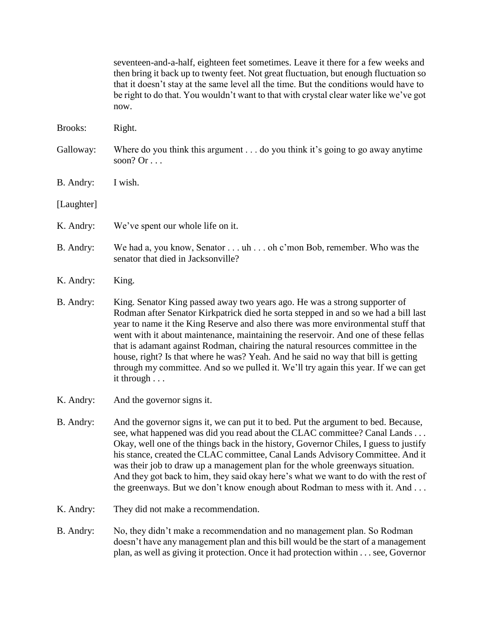seventeen-and-a-half, eighteen feet sometimes. Leave it there for a few weeks and then bring it back up to twenty feet. Not great fluctuation, but enough fluctuation so that it doesn't stay at the same level all the time. But the conditions would have to be right to do that. You wouldn't want to that with crystal clear water like we've got now.

Brooks: Right.

Galloway: Where do you think this argument . . . do you think it's going to go away anytime soon? Or  $\dots$ 

B. Andry: I wish.

[Laughter]

- K. Andry: We've spent our whole life on it.
- B. Andry: We had a, you know, Senator . . . uh . . . oh c'mon Bob, remember. Who was the senator that died in Jacksonville?
- K. Andry: King.
- B. Andry: King. Senator King passed away two years ago. He was a strong supporter of Rodman after Senator Kirkpatrick died he sorta stepped in and so we had a bill last year to name it the King Reserve and also there was more environmental stuff that went with it about maintenance, maintaining the reservoir. And one of these fellas that is adamant against Rodman, chairing the natural resources committee in the house, right? Is that where he was? Yeah. And he said no way that bill is getting through my committee. And so we pulled it. We'll try again this year. If we can get it through . . .
- K. Andry: And the governor signs it.
- B. Andry: And the governor signs it, we can put it to bed. Put the argument to bed. Because, see, what happened was did you read about the CLAC committee? Canal Lands . . . Okay, well one of the things back in the history, Governor Chiles, I guess to justify his stance, created the CLAC committee, Canal Lands Advisory Committee. And it was their job to draw up a management plan for the whole greenways situation. And they got back to him, they said okay here's what we want to do with the rest of the greenways. But we don't know enough about Rodman to mess with it. And . . .
- K. Andry: They did not make a recommendation.
- B. Andry: No, they didn't make a recommendation and no management plan. So Rodman doesn't have any management plan and this bill would be the start of a management plan, as well as giving it protection. Once it had protection within . . . see, Governor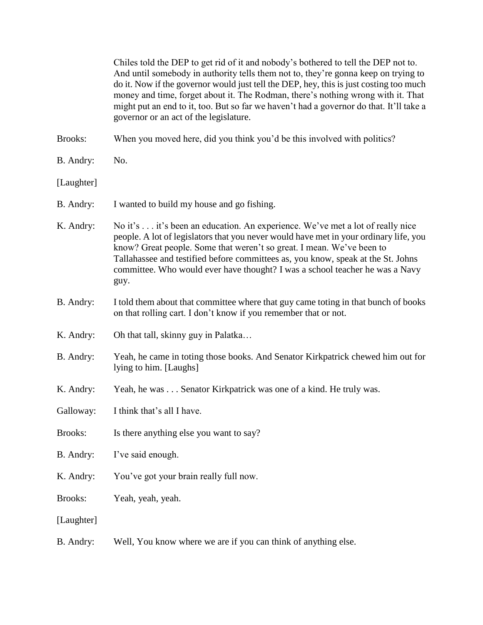Chiles told the DEP to get rid of it and nobody's bothered to tell the DEP not to. And until somebody in authority tells them not to, they're gonna keep on trying to do it. Now if the governor would just tell the DEP, hey, this is just costing too much money and time, forget about it. The Rodman, there's nothing wrong with it. That might put an end to it, too. But so far we haven't had a governor do that. It'll take a governor or an act of the legislature. Brooks: When you moved here, did you think you'd be this involved with politics? B. Andry: No. [Laughter] B. Andry: I wanted to build my house and go fishing. K. Andry: No it's . . . it's been an education. An experience. We've met a lot of really nice people. A lot of legislators that you never would have met in your ordinary life, you know? Great people. Some that weren't so great. I mean. We've been to Tallahassee and testified before committees as, you know, speak at the St. Johns committee. Who would ever have thought? I was a school teacher he was a Navy guy. B. Andry: I told them about that committee where that guy came toting in that bunch of books on that rolling cart. I don't know if you remember that or not. K. Andry: Oh that tall, skinny guy in Palatka… B. Andry: Yeah, he came in toting those books. And Senator Kirkpatrick chewed him out for lying to him. [Laughs] K. Andry: Yeah, he was . . . Senator Kirkpatrick was one of a kind. He truly was. Galloway: I think that's all I have. Brooks: Is there anything else you want to say? B. Andry: I've said enough. K. Andry: You've got your brain really full now. Brooks: Yeah, yeah, yeah. [Laughter]

B. Andry: Well, You know where we are if you can think of anything else.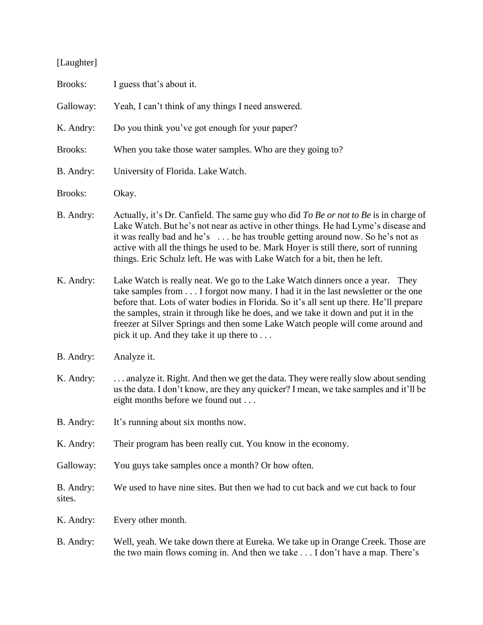| [Laughter]          |                                                                                                                                                                                                                                                                                                                                                                                                                                                                                          |
|---------------------|------------------------------------------------------------------------------------------------------------------------------------------------------------------------------------------------------------------------------------------------------------------------------------------------------------------------------------------------------------------------------------------------------------------------------------------------------------------------------------------|
| Brooks:             | I guess that's about it.                                                                                                                                                                                                                                                                                                                                                                                                                                                                 |
| Galloway:           | Yeah, I can't think of any things I need answered.                                                                                                                                                                                                                                                                                                                                                                                                                                       |
| K. Andry:           | Do you think you've got enough for your paper?                                                                                                                                                                                                                                                                                                                                                                                                                                           |
| <b>Brooks:</b>      | When you take those water samples. Who are they going to?                                                                                                                                                                                                                                                                                                                                                                                                                                |
| B. Andry:           | University of Florida. Lake Watch.                                                                                                                                                                                                                                                                                                                                                                                                                                                       |
| <b>Brooks:</b>      | Okay.                                                                                                                                                                                                                                                                                                                                                                                                                                                                                    |
| B. Andry:           | Actually, it's Dr. Canfield. The same guy who did To Be or not to Be is in charge of<br>Lake Watch. But he's not near as active in other things. He had Lyme's disease and<br>it was really bad and he's  he has trouble getting around now. So he's not as<br>active with all the things he used to be. Mark Hoyer is still there, sort of running<br>things. Eric Schulz left. He was with Lake Watch for a bit, then he left.                                                         |
| K. Andry:           | Lake Watch is really neat. We go to the Lake Watch dinners once a year.<br>They<br>take samples from I forgot now many. I had it in the last newsletter or the one<br>before that. Lots of water bodies in Florida. So it's all sent up there. He'll prepare<br>the samples, strain it through like he does, and we take it down and put it in the<br>freezer at Silver Springs and then some Lake Watch people will come around and<br>pick it up. And they take it up there to $\dots$ |
| B. Andry:           | Analyze it.                                                                                                                                                                                                                                                                                                                                                                                                                                                                              |
| K. Andry:           | analyze it. Right. And then we get the data. They were really slow about sending<br>us the data. I don't know, are they any quicker? I mean, we take samples and it'll be<br>eight months before we found out                                                                                                                                                                                                                                                                            |
| B. Andry:           | It's running about six months now.                                                                                                                                                                                                                                                                                                                                                                                                                                                       |
| K. Andry:           | Their program has been really cut. You know in the economy.                                                                                                                                                                                                                                                                                                                                                                                                                              |
| Galloway:           | You guys take samples once a month? Or how often.                                                                                                                                                                                                                                                                                                                                                                                                                                        |
| B. Andry:<br>sites. | We used to have nine sites. But then we had to cut back and we cut back to four                                                                                                                                                                                                                                                                                                                                                                                                          |
| K. Andry:           | Every other month.                                                                                                                                                                                                                                                                                                                                                                                                                                                                       |
| B. Andry:           | Well, yeah. We take down there at Eureka. We take up in Orange Creek. Those are<br>the two main flows coming in. And then we take I don't have a map. There's                                                                                                                                                                                                                                                                                                                            |